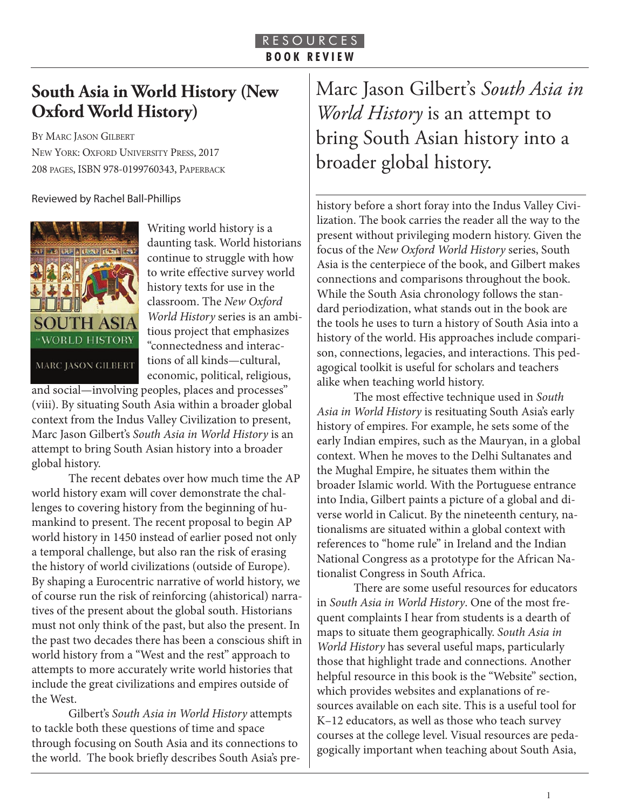## **South Asia in World History (New Oxford World History)**

BY MARC JASON GILBERT NEW YORK: OXFORD UNIVERSITY PRESS, 2017 208 PAGES, ISBN 978-0199760343, PAPERBACK

Reviewed by Rachel Ball-Phillips



Writing world history is a daunting task. World historians continue to struggle with how to write effective survey world history texts for use in the classroom. The *New Oxford World History* series is an ambitious project that emphasizes "connectedness and interactions of all kinds—cultural, economic, political, religious,

and social—involving peoples, places and processes" (viii). By situating South Asia within a broader global context from the Indus Valley Civilization to present, Marc Jason Gilbert's *South Asia in World History* is an attempt to bring South Asian history into a broader global history.

The recent debates over how much time the AP world history exam will cover demonstrate the challenges to covering history from the beginning of humankind to present. The recent proposal to begin AP world history in 1450 instead of earlier posed not only a temporal challenge, but also ran the risk of erasing the history of world civilizations (outside of Europe). By shaping a Eurocentric narrative of world history, we of course run the risk of reinforcing (ahistorical) narratives of the present about the global south. Historians must not only think of the past, but also the present. In the past two decades there has been a conscious shift in world history from a "West and the rest" approach to attempts to more accurately write world histories that include the great civilizations and empires outside of the West.

Gilbert's *South Asia in World History* attempts to tackle both these questions of time and space through focusing on South Asia and its connections to the world. The book briefly describes South Asia's preMarc Jason Gilbert's *South Asia in World History* is an attempt to bring South Asian history into a broader global history.

history before a short foray into the Indus Valley Civilization. The book carries the reader all the way to the present without privileging modern history. Given the focus of the *New Oxford World History* series, South Asia is the centerpiece of the book, and Gilbert makes connections and comparisons throughout the book. While the South Asia chronology follows the standard periodization, what stands out in the book are the tools he uses to turn a history of South Asia into a history of the world. His approaches include comparison, connections, legacies, and interactions. This pedagogical toolkit is useful for scholars and teachers alike when teaching world history.

The most effective technique used in *South Asia in World History* is resituating South Asia's early history of empires. For example, he sets some of the early Indian empires, such as the Mauryan, in a global context. When he moves to the Delhi Sultanates and the Mughal Empire, he situates them within the broader Islamic world. With the Portuguese entrance into India, Gilbert paints a picture of a global and diverse world in Calicut. By the nineteenth century, nationalisms are situated within a global context with references to "home rule" in Ireland and the Indian National Congress as a prototype for the African Nationalist Congress in South Africa.

There are some useful resources for educators in *South Asia in World History*. One of the most frequent complaints I hear from students is a dearth of maps to situate them geographically. *South Asia in World History* has several useful maps, particularly those that highlight trade and connections. Another helpful resource in this book is the "Website" section, which provides websites and explanations of resources available on each site. This is a useful tool for K–12 educators, as well as those who teach survey courses at the college level. Visual resources are pedagogically important when teaching about South Asia,